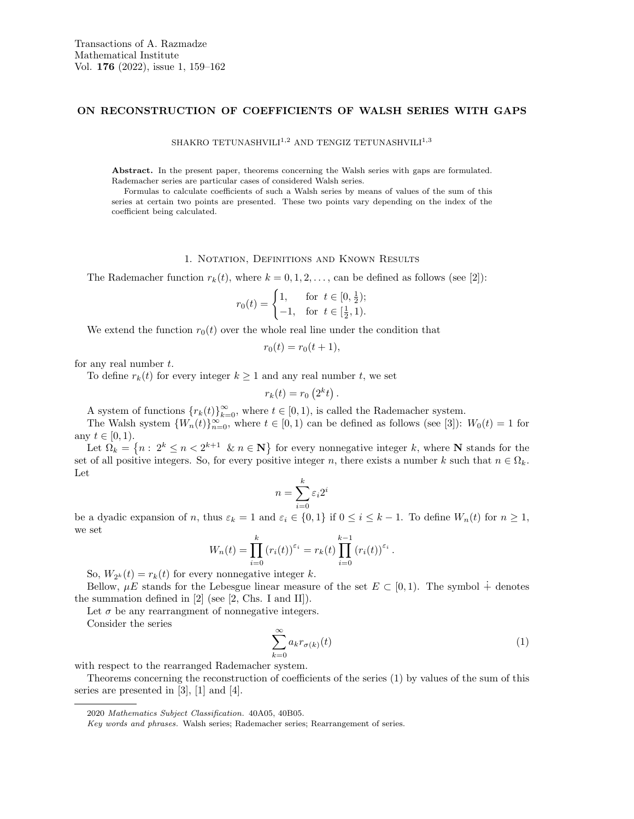# ON RECONSTRUCTION OF COEFFICIENTS OF WALSH SERIES WITH GAPS

SHAKRO TETUNASHVILI<sup>1,2</sup> AND TENGIZ TETUNASHVILI<sup>1,3</sup>

Abstract. In the present paper, theorems concerning the Walsh series with gaps are formulated. Rademacher series are particular cases of considered Walsh series.

Formulas to calculate coefficients of such a Walsh series by means of values of the sum of this series at certain two points are presented. These two points vary depending on the index of the coefficient being calculated.

#### 1. Notation, Definitions and Known Results

The Rademacher function  $r_k(t)$ , where  $k = 0, 1, 2, \ldots$ , can be defined as follows (see [2]):

$$
r_0(t) = \begin{cases} 1, & \text{for } t \in [0, \frac{1}{2});\\ -1, & \text{for } t \in [\frac{1}{2}, 1). \end{cases}
$$

We extend the function  $r_0(t)$  over the whole real line under the condition that

$$
r_0(t) = r_0(t+1),
$$

for any real number  $t$ .

To define  $r_k(t)$  for every integer  $k \geq 1$  and any real number t, we set

$$
r_k(t) = r_0\left(2^k t\right).
$$

A system of functions  ${r_k(t)}_{k=0}^{\infty}$ , where  $t \in [0,1)$ , is called the Rademacher system.

The Walsh system  ${W_n(t)}_{n=0}^{\infty}$ , where  $t \in [0,1)$  can be defined as follows (see [3]):  $W_0(t) = 1$  for any  $t \in [0, 1)$ .

Let  $\Omega_k = \{n : 2^k \leq n < 2^{k+1} \& n \in \mathbb{N}\}\$  for every nonnegative integer k, where N stands for the set of all positive integers. So, for every positive integer n, there exists a number k such that  $n \in \Omega_k$ . Let

$$
n=\sum_{i=0}^k\varepsilon_i2^i
$$

be a dyadic expansion of n, thus  $\varepsilon_k = 1$  and  $\varepsilon_i \in \{0,1\}$  if  $0 \le i \le k-1$ . To define  $W_n(t)$  for  $n \ge 1$ , we set

$$
W_n(t) = \prod_{i=0}^k (r_i(t))^{\varepsilon_i} = r_k(t) \prod_{i=0}^{k-1} (r_i(t))^{\varepsilon_i}.
$$

So,  $W_{2^k}(t) = r_k(t)$  for every nonnegative integer k.

Bellow,  $\mu E$  stands for the Lebesgue linear measure of the set  $E \subset [0,1)$ . The symbol + denotes the summation defined in [2] (see [2, Chs. I and II]).

Let  $\sigma$  be any rearrangment of nonnegative integers.

Consider the series

$$
\sum_{k=0}^{\infty} a_k r_{\sigma(k)}(t) \tag{1}
$$

with respect to the rearranged Rademacher system.

Theorems concerning the reconstruction of coefficients of the series (1) by values of the sum of this series are presented in [3], [1] and [4].

<sup>2020</sup> Mathematics Subject Classification. 40A05, 40B05.

Key words and phrases. Walsh series; Rademacher series; Rearrangement of series.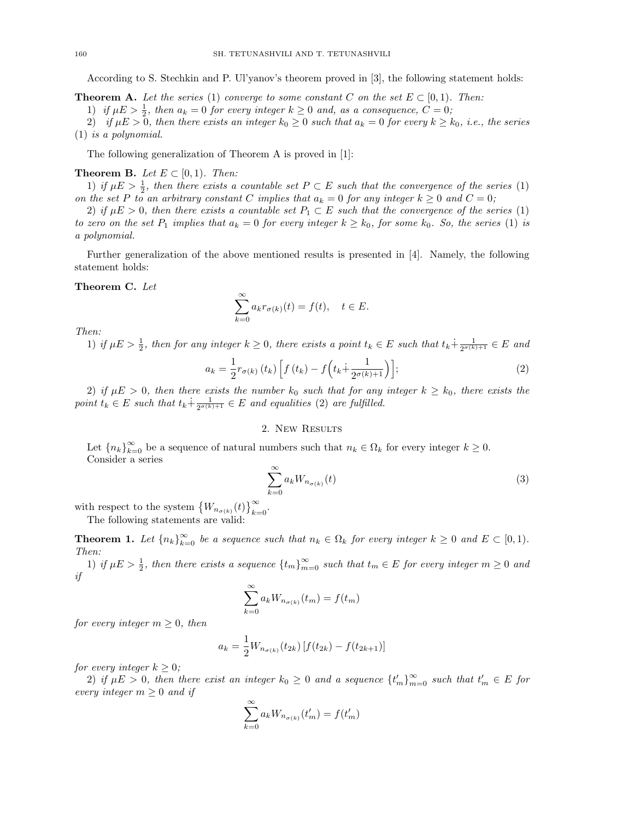According to S. Stechkin and P. Ul'yanov's theorem proved in [3], the following statement holds:

**Theorem A.** Let the series (1) converge to some constant C on the set  $E \subset [0,1)$ . Then:

1) if  $\mu E > \frac{1}{2}$ , then  $a_k = 0$  for every integer  $k \ge 0$  and, as a consequence,  $C = 0$ ;

2) if  $\mu E > 0$ , then there exists an integer  $k_0 \geq 0$  such that  $a_k = 0$  for every  $k \geq k_0$ , i.e., the series (1) is a polynomial.

The following generalization of Theorem A is proved in [1]:

**Theorem B.** Let  $E \subset [0,1)$ . Then:

1) if  $\mu E > \frac{1}{2}$ , then there exists a countable set  $P \subset E$  such that the convergence of the series (1) on the set P to an arbitrary constant C implies that  $a_k = 0$  for any integer  $k \geq 0$  and  $C = 0$ ;

2) if  $\mu E > 0$ , then there exists a countable set  $P_1 \subset E$  such that the convergence of the series (1) to zero on the set  $P_1$  implies that  $a_k = 0$  for every integer  $k \geq k_0$ , for some  $k_0$ . So, the series (1) is a polynomial.

Further generalization of the above mentioned results is presented in [4]. Namely, the following statement holds:

Theorem C. Let

$$
\sum_{k=0}^{\infty} a_k r_{\sigma(k)}(t) = f(t), \quad t \in E.
$$

Then:

1) if  $\mu E > \frac{1}{2}$ , then for any integer  $k \geq 0$ , there exists a point  $t_k \in E$  such that  $t_k + \frac{1}{2^{\sigma(k)+1}} \in E$  and

$$
a_k = \frac{1}{2} r_{\sigma(k)}(t_k) \left[ f(t_k) - f\left(t_k + \frac{1}{2^{\sigma(k)+1}}\right) \right];\tag{2}
$$

2) if  $\mu E > 0$ , then there exists the number  $k_0$  such that for any integer  $k \geq k_0$ , there exists the point  $t_k \in E$  such that  $t_k \dot{+} \frac{1}{2^{\sigma(k)+1}} \in E$  and equalities (2) are fulfilled.

## 2. New Results

Let  ${n_k}_{k=0}^{\infty}$  be a sequence of natural numbers such that  $n_k \in \Omega_k$  for every integer  $k \geq 0$ . Consider a series

$$
\sum_{k=0}^{\infty} a_k W_{n_{\sigma(k)}}(t)
$$
\n(3)

with respect to the system  $\{W_{n_{\sigma(k)}}(t)\}_{k=0}^{\infty}$ .

The following statements are valid:

**Theorem 1.** Let  ${n_k}_{k=0}^{\infty}$  be a sequence such that  $n_k \in \Omega_k$  for every integer  $k \geq 0$  and  $E \subset [0,1)$ . Then:

1) if  $\mu E > \frac{1}{2}$ , then there exists a sequence  $\{t_m\}_{m=0}^{\infty}$  such that  $t_m \in E$  for every integer  $m \ge 0$  and if

$$
\sum_{k=0}^{\infty} a_k W_{n_{\sigma(k)}}(t_m) = f(t_m)
$$

for every integer  $m \geq 0$ , then

$$
a_k = \frac{1}{2} W_{n_{\sigma(k)}}(t_{2k}) \left[ f(t_{2k}) - f(t_{2k+1}) \right]
$$

for every integer  $k \geq 0$ ;

2) if  $\mu E > 0$ , then there exist an integer  $k_0 \geq 0$  and a sequence  $\{t'_m\}_{m=0}^{\infty}$  such that  $t'_m \in E$  for every integer  $m \geq 0$  and if

$$
\sum_{k=0}^{\infty} a_k W_{n_{\sigma(k)}}(t'_m) = f(t'_m)
$$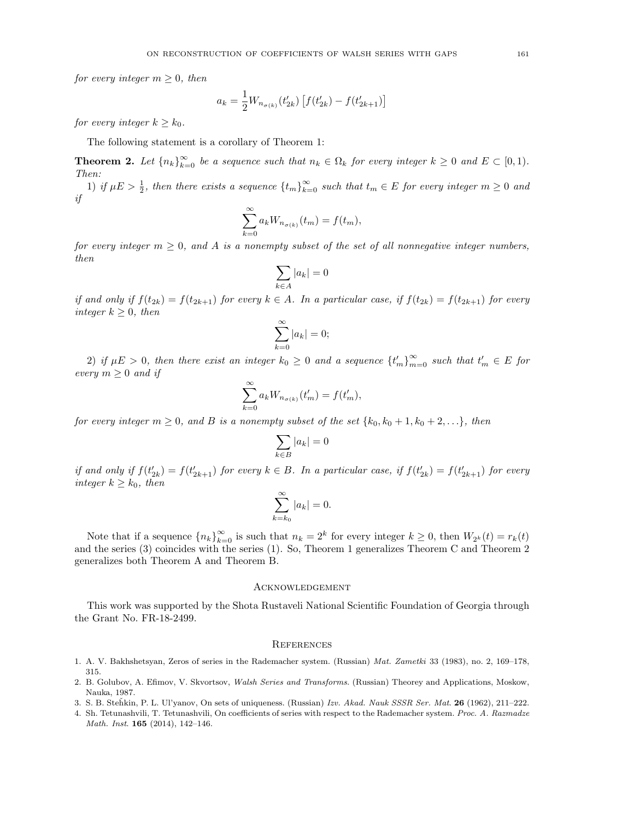for every integer  $m \geq 0$ , then

$$
a_k = \frac{1}{2} W_{n_{\sigma(k)}}(t'_{2k}) \left[ f(t'_{2k}) - f(t'_{2k+1}) \right]
$$

for every integer  $k \geq k_0$ .

The following statement is a corollary of Theorem 1:

**Theorem 2.** Let  ${n_k}_{k=0}^{\infty}$  be a sequence such that  $n_k \in \Omega_k$  for every integer  $k \geq 0$  and  $E \subset [0,1)$ . Then:

1) if  $\mu E > \frac{1}{2}$ , then there exists a sequence  $\{t_m\}_{k=0}^{\infty}$  such that  $t_m \in E$  for every integer  $m \geq 0$  and if

$$
\sum_{k=0}^{\infty} a_k W_{n_{\sigma(k)}}(t_m) = f(t_m),
$$

for every integer  $m \geq 0$ , and A is a nonempty subset of the set of all nonnegative integer numbers, then

$$
\sum_{k\in A}|a_k|=0
$$

if and only if  $f(t_{2k}) = f(t_{2k+1})$  for every  $k \in A$ . In a particular case, if  $f(t_{2k}) = f(t_{2k+1})$  for every integer  $k \geq 0$ , then

$$
\sum_{k=0}^{\infty} |a_k| = 0;
$$

2) if  $\mu E > 0$ , then there exist an integer  $k_0 \geq 0$  and a sequence  $\{t'_m\}_{m=0}^{\infty}$  such that  $t'_m \in E$  for every  $m \geq 0$  and if

$$
\sum_{k=0}^{\infty} a_k W_{n_{\sigma(k)}}(t'_m) = f(t'_m),
$$

for every integer  $m \geq 0$ , and B is a nonempty subset of the set  $\{k_0, k_0 + 1, k_0 + 2, \ldots\}$ , then

$$
\sum_{k \in B} |a_k| = 0
$$

if and only if  $f(t'_{2k}) = f(t'_{2k+1})$  for every  $k \in B$ . In a particular case, if  $f(t'_{2k}) = f(t'_{2k+1})$  for every integer  $k \geq k_0$ , then

$$
\sum_{k=k_0}^{\infty} |a_k| = 0.
$$

Note that if a sequence  ${n_k}_{k=0}^{\infty}$  is such that  $n_k = 2^k$  for every integer  $k \geq 0$ , then  $W_{2^k}(t) = r_k(t)$ and the series (3) coincides with the series (1). So, Theorem 1 generalizes Theorem C and Theorem 2 generalizes both Theorem A and Theorem B.

### **ACKNOWLEDGEMENT**

This work was supported by the Shota Rustaveli National Scientific Foundation of Georgia through the Grant No. FR-18-2499.

### **REFERENCES**

- 1. A. V. Bakhshetsyan, Zeros of series in the Rademacher system. (Russian) Mat. Zametki 33 (1983), no. 2, 169–178, 315.
- 2. B. Golubov, A. Efimov, V. Skvortsov, Walsh Series and Transforms. (Russian) Theorey and Applications, Moskow, Nauka, 1987.
- 3. S. B. Stehkin, P. L. Ul'yanov, On sets of uniqueness. (Russian) *Izv. Akad. Nauk SSSR Ser. Mat.* 26 (1962), 211–222.
- 4. Sh. Tetunashvili, T. Tetunashvili, On coefficients of series with respect to the Rademacher system. Proc. A. Razmadze Math. Inst. 165 (2014), 142–146.